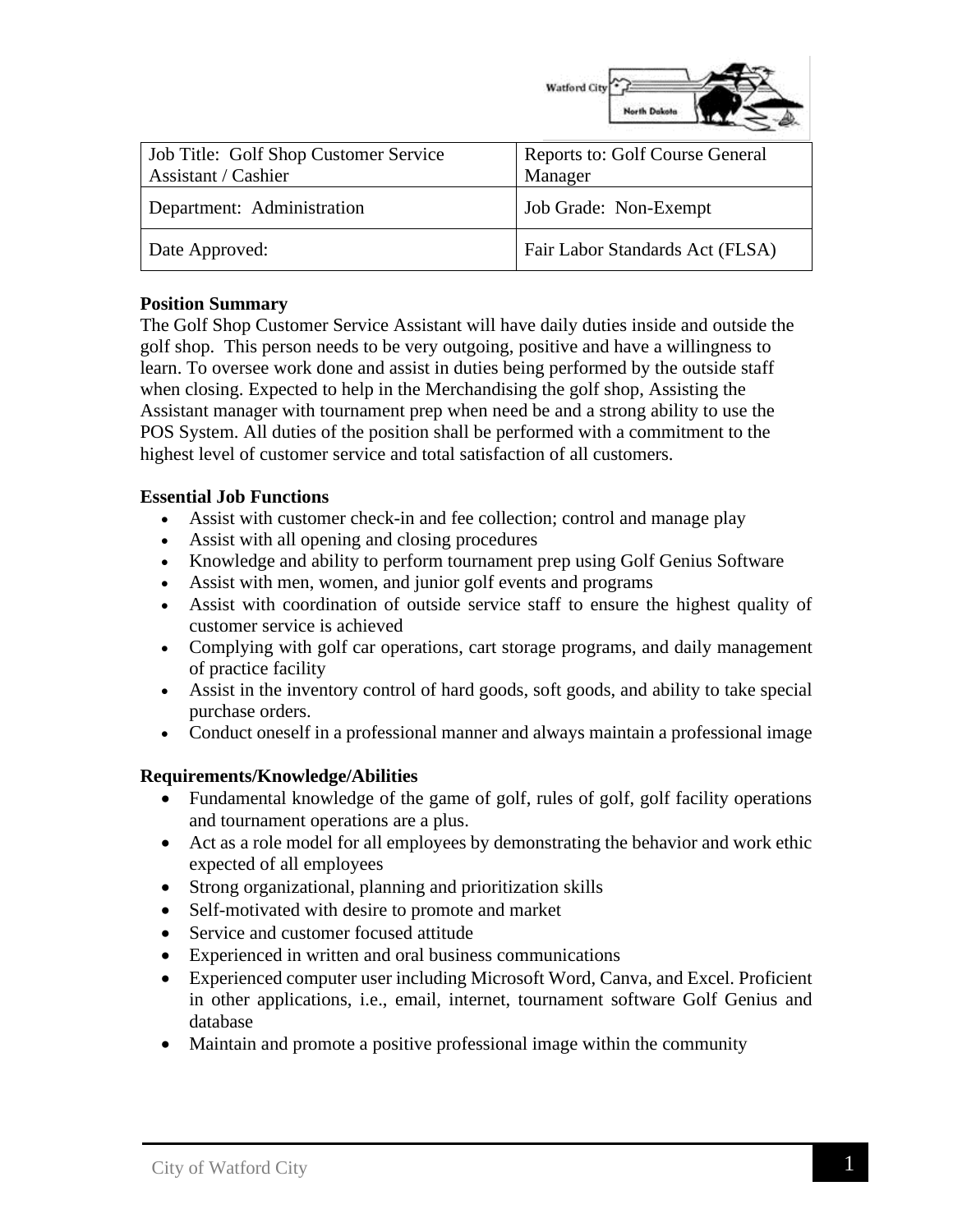

| Job Title: Golf Shop Customer Service<br>Assistant / Cashier | Reports to: Golf Course General<br>Manager |
|--------------------------------------------------------------|--------------------------------------------|
| Department: Administration                                   | Job Grade: Non-Exempt                      |
| Date Approved:                                               | Fair Labor Standards Act (FLSA)            |

# **Position Summary**

The Golf Shop Customer Service Assistant will have daily duties inside and outside the golf shop. This person needs to be very outgoing, positive and have a willingness to learn. To oversee work done and assist in duties being performed by the outside staff when closing. Expected to help in the Merchandising the golf shop, Assisting the Assistant manager with tournament prep when need be and a strong ability to use the POS System. All duties of the position shall be performed with a commitment to the highest level of customer service and total satisfaction of all customers.

# **Essential Job Functions**

- Assist with customer check-in and fee collection; control and manage play
- Assist with all opening and closing procedures
- Knowledge and ability to perform tournament prep using Golf Genius Software
- Assist with men, women, and junior golf events and programs
- Assist with coordination of outside service staff to ensure the highest quality of customer service is achieved
- Complying with golf car operations, cart storage programs, and daily management of practice facility
- Assist in the inventory control of hard goods, soft goods, and ability to take special purchase orders.
- Conduct oneself in a professional manner and always maintain a professional image

#### **Requirements/Knowledge/Abilities**

- Fundamental knowledge of the game of golf, rules of golf, golf facility operations and tournament operations are a plus.
- Act as a role model for all employees by demonstrating the behavior and work ethic expected of all employees
- Strong organizational, planning and prioritization skills
- Self-motivated with desire to promote and market
- Service and customer focused attitude
- Experienced in written and oral business communications
- Experienced computer user including Microsoft Word, Canva, and Excel. Proficient in other applications, i.e., email, internet, tournament software Golf Genius and database
- Maintain and promote a positive professional image within the community